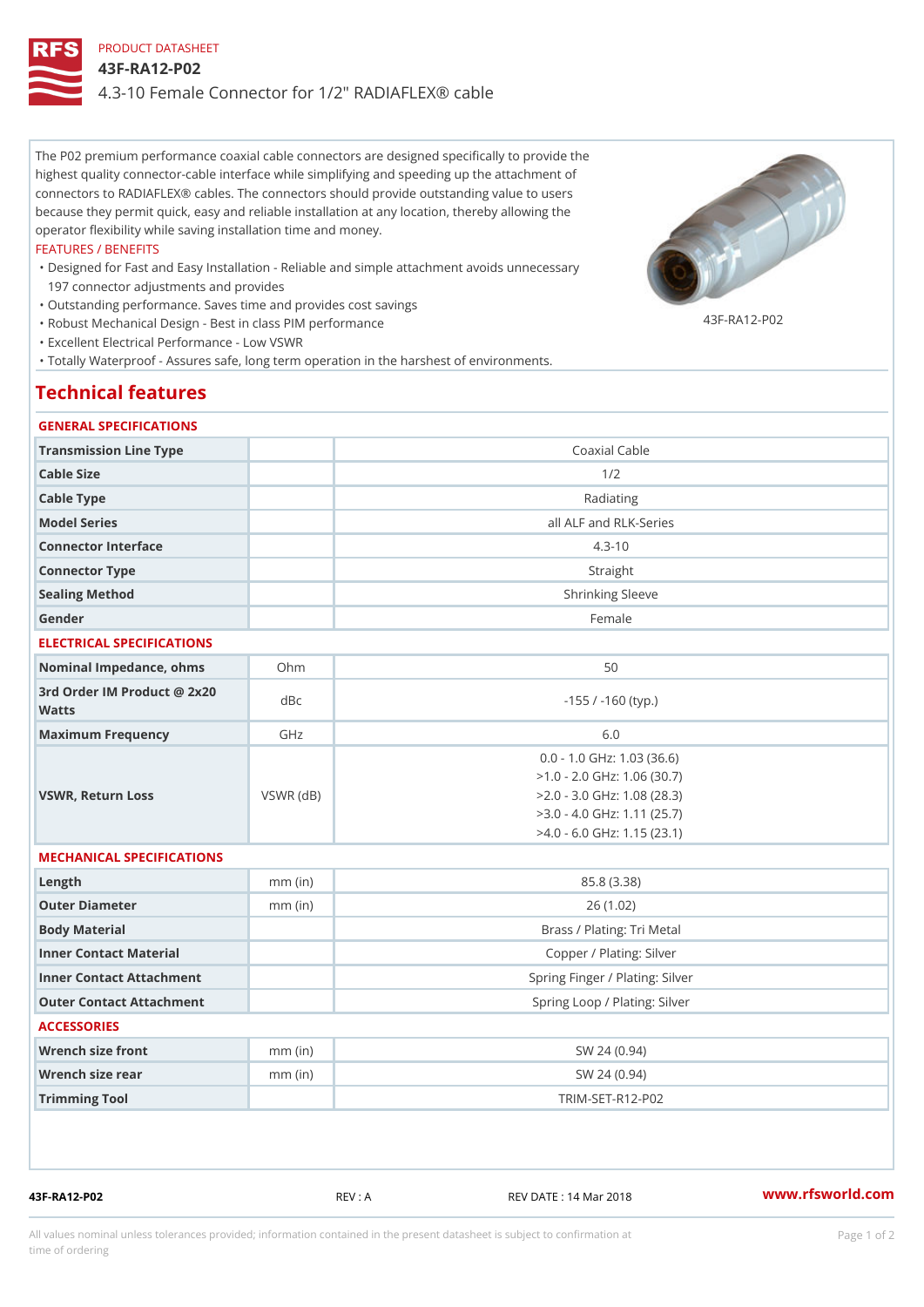# PRODUCT DATASHEET 43F-RA12-P02 4.3-10 Female Connector for 1/2" RADIAFLEX® cable

The P02 premium performance coaxial cable connectors are designed specifically to provide the highest quality connector-cable interface while simplifying and speeding up the attachment of connectors to RADIAFLEX® cables. The connectors should provide outstanding value to users because they permit quick, easy and reliable installation at any location, thereby allowing the operator flexibility while saving installation time and money.

#### FEATURES / BENEFITS

- Designed for Fast and Easy Installation Reliable and simple attachment avoids unnecessary " 197 connector adjustments and provides
- "Outstanding performance. Saves time and provides cost savings
	- 43F-RA12-P02
- "Robust Mechanical Design Best in class PIM performance

"Excellent Electrical Performance - Low VSWR

"Totally Waterproof - Assures safe, long term operation in the harshest of environments.

# Technical features

#### GENERAL SPECIFICATIONS

| Transmission Line Type                      |                 | Coaxial Cable                                                                                                                                                      |  |
|---------------------------------------------|-----------------|--------------------------------------------------------------------------------------------------------------------------------------------------------------------|--|
| Cable Size                                  |                 | 1/2                                                                                                                                                                |  |
| Cable Type                                  |                 | Radiating                                                                                                                                                          |  |
| Model Series                                |                 | all ALF and RLK-Series                                                                                                                                             |  |
| Connector Interface                         |                 | $4.3 - 10$                                                                                                                                                         |  |
| Connector Type                              |                 | Straight                                                                                                                                                           |  |
| Sealing Method                              |                 | Shrinking Sleeve                                                                                                                                                   |  |
| Gender                                      |                 | Female                                                                                                                                                             |  |
| ELECTRICAL SPECIFICATIONS                   |                 |                                                                                                                                                                    |  |
| Nominal Impedance, ohins Ohm                |                 | 50                                                                                                                                                                 |  |
| 3rd Order IM Product @ 2x20<br>dBc<br>Watts |                 | $-155$ / $-160$ (typ.)                                                                                                                                             |  |
| Maximum Frequency                           | GHz             | 6.0                                                                                                                                                                |  |
| VSWR, Return Loss                           | $VSWR$ ( $dB$ ) | $0.0 - 1.0$ GHz: $1.03$ (36.6)<br>$>1.0 - 2.0$ GHz: 1.06 (30.7)<br>$>2.0 - 3.0$ GHz: 1.08 (28.3)<br>$>3.0 - 4.0$ GHz: 1.11 (25.7)<br>$>4.0 - 6.0$ GHz: 1.15 (23.1) |  |
| MECHANICAL SPECIFICATIONS                   |                 |                                                                                                                                                                    |  |
| $L$ ength                                   | $mm$ (in)       | 85.8 (3.38)                                                                                                                                                        |  |
| Outer Diameter                              | $mm$ (in)       | 26(1.02)                                                                                                                                                           |  |
| Body Material                               |                 | Brass / Plating: Tri Metal                                                                                                                                         |  |
| Inner Contact Material                      |                 | Copper / Plating: Silver                                                                                                                                           |  |
| Inner Contact Attachment                    |                 | Spring Finger / Plating: Silver                                                                                                                                    |  |
| Outer Contact Attachment                    |                 | Spring Loop / Plating: Silver                                                                                                                                      |  |
| <b>ACCESSORIES</b>                          |                 |                                                                                                                                                                    |  |
| Wrench size front                           | $mm$ (in)       | SW 24 (0.94)                                                                                                                                                       |  |
| Wrench size rear                            | $mm$ (in)       | SW 24 (0.94)                                                                                                                                                       |  |
| Trimming Tool                               |                 | $TRIM-SET-RA12-PO2$                                                                                                                                                |  |
|                                             |                 |                                                                                                                                                                    |  |

43F-RA12-P02 REV : A REV DATE : 14 Mar 2018 [www.](https://www.rfsworld.com)rfsworld.com